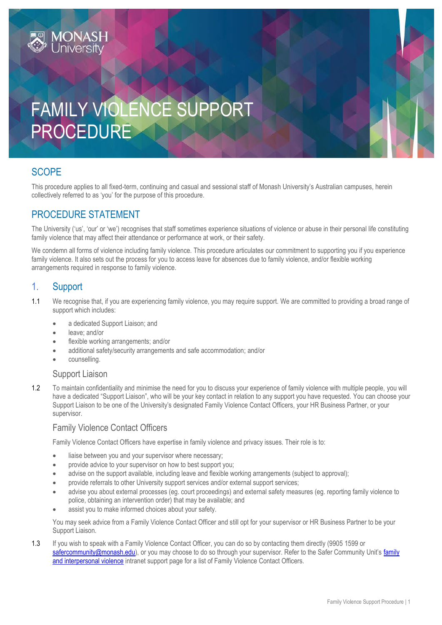# FAMILY VIOLENCE SUPPORT PROCEDURE

## **SCOPE**

This procedure applies to all fixed-term, continuing and casual and sessional staff of Monash University's Australian campuses, herein collectively referred to as 'you' for the purpose of this procedure.

## PROCEDURE STATEMENT

**MONASH**<br>University

The University ('us', 'our' or 'we') recognises that staff sometimes experience situations of violence or abuse in their personal life constituting family violence that may affect their attendance or performance at work, or their safety.

We condemn all forms of violence including family violence. This procedure articulates our commitment to supporting you if you experience family violence. It also sets out the process for you to access leave for absences due to family violence, and/or flexible working arrangements required in response to family violence.

## 1. Support

- 1.1 We recognise that, if you are experiencing family violence, you may require support. We are committed to providing a broad range of support which includes:
	- a dedicated Support Liaison; and
	- leave; and/or
	- flexible working arrangements; and/or
	- additional safety/security arrangements and safe accommodation; and/or
	- counselling.

#### Support Liaison

1.2 To maintain confidentiality and minimise the need for you to discuss your experience of family violence with multiple people, you will have a dedicated "Support Liaison", who will be your key contact in relation to any support you have requested. You can choose your Support Liaison to be one of the University's designated Family Violence Contact Officers, your HR Business Partner, or your supervisor.

#### Family Violence Contact Officers

Family Violence Contact Officers have expertise in family violence and privacy issues. Their role is to:

- liaise between you and your supervisor where necessary;
- provide advice to your supervisor on how to best support you;
- advise on the support available, including leave and flexible working arrangements (subject to approval);
- provide referrals to other University support services and/or external support services;
- advise you about external processes (eg. court proceedings) and external safety measures (eg. reporting family violence to police, obtaining an intervention order) that may be available; and
- assist you to make informed choices about your safety.

You may seek advice from a Family Violence Contact Officer and still opt for your supervisor or HR Business Partner to be your Support Liaison.

1.3 If you wish to speak with a Family Violence Contact Officer, you can do so by contacting them directly (9905 1599 or [safercommunity@monash.edu](mailto:safercommunity@monash.edu)), or you may choose to do so through your supervisor. Refer to the Safer Community Unit's family [and interpersonal violence](https://www.monash.edu/safer-community/problem-behaviour/family-and-interpersonal-violence) intranet support page for a list of Family Violence Contact Officers.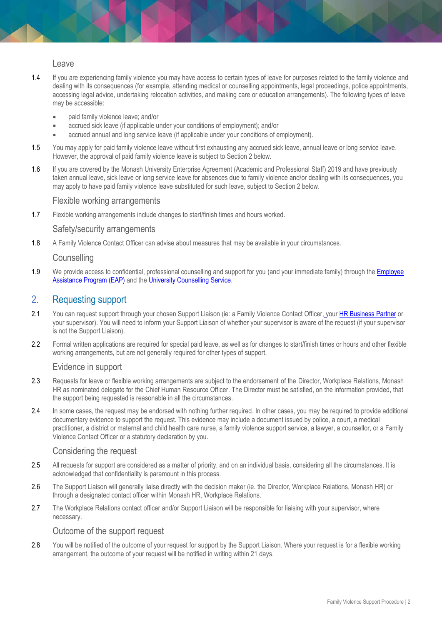Leave

- 1.4 If you are experiencing family violence you may have access to certain types of leave for purposes related to the family violence and dealing with its consequences (for example, attending medical or counselling appointments, legal proceedings, police appointments, accessing legal advice, undertaking relocation activities, and making care or education arrangements). The following types of leave may be accessible:
	- paid family violence leave; and/or
	- accrued sick leave (if applicable under your conditions of employment); and/or
	- accrued annual and long service leave (if applicable under your conditions of employment).
- 1.5 You may apply for paid family violence leave without first exhausting any accrued sick leave, annual leave or long service leave. However, the approval of paid family violence leave is subject to Section 2 below.
- 1.6 If you are covered by the Monash University Enterprise Agreement (Academic and Professional Staff) 2019 and have previously taken annual leave, sick leave or long service leave for absences due to family violence and/or dealing with its consequences, you may apply to have paid family violence leave substituted for such leave, subject to Section 2 below.

#### Flexible working arrangements

1.7 Flexible working arrangements include changes to start/finish times and hours worked.

#### Safety/security arrangements

1.8 A Family Violence Contact Officer can advise about measures that may be available in your circumstances.

#### **Counselling**

1.9 We provide access to confidential, professional counselling and support for you (and your immediate family) through the Employee [Assistance Program \(EAP\)](https://www.monash.edu/__data/assets/pdf_file/0011/797456/Employee-assistance.pdf) and the [University Counselling Service.](https://www.monash.edu/health/counselling)

#### 2. Requesting support

- 2.1 You can request support through your chosen Support Liaison (ie: a Family Violence Contact Officer, your [HR Business Partner](https://www.intranet.monash/hr/contact-us/hr-business-partners) or your supervisor). You will need to inform your Support Liaison of whether your supervisor is aware of the request (if your supervisor is not the Support Liaison).
- 2.2 Formal written applications are required for special paid leave, as well as for changes to start/finish times or hours and other flexible working arrangements, but are not generally required for other types of support.

#### Evidence in support

- 2.3 Requests for leave or flexible working arrangements are subject to the endorsement of the Director, Workplace Relations, Monash HR as nominated delegate for the Chief Human Resource Officer. The Director must be satisfied, on the information provided, that the support being requested is reasonable in all the circumstances.
- 2.4 In some cases, the request may be endorsed with nothing further required. In other cases, you may be required to provide additional documentary evidence to support the request. This evidence may include a document issued by police, a court, a medical practitioner, a district or maternal and child health care nurse, a family violence support service, a lawyer, a counsellor, or a Family Violence Contact Officer or a statutory declaration by you.

#### Considering the request

- 2.5 All requests for support are considered as a matter of priority, and on an individual basis, considering all the circumstances. It is acknowledged that confidentiality is paramount in this process.
- 2.6 The Support Liaison will generally liaise directly with the decision maker (ie. the Director, Workplace Relations, Monash HR) or through a designated contact officer within Monash HR, Workplace Relations.
- 2.7 The Workplace Relations contact officer and/or Support Liaison will be responsible for liaising with your supervisor, where necessary.

#### Outcome of the support request

2.8 You will be notified of the outcome of your request for support by the Support Liaison. Where your request is for a flexible working arrangement, the outcome of your request will be notified in writing within 21 days.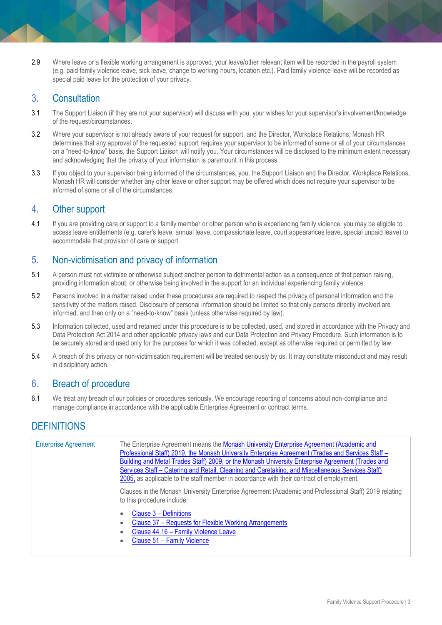2.9 Where leave or a flexible working arrangement is approved, your leave/other relevant item will be recorded in the payroll system (e.g. paid family violence leave, sick leave, change to working hours, location etc.). Paid family violence leave will be recorded as special paid leave for the protection of your privacy.

## 3. Consultation

- 3.1 The Support Liaison (if they are not your supervisor) will discuss with you, your wishes for your supervisor's involvement/knowledge of the request/circumstances.
- 3.2 Where your supervisor is not already aware of your request for support, and the Director, Workplace Relations, Monash HR determines that any approval of the requested support requires your supervisor to be informed of some or all of your circumstances on a "need-to-know" basis, the Support Liaison will notify you. Your circumstances will be disclosed to the minimum extent necessary and acknowledging that the privacy of your information is paramount in this process.
- 3.3 If you object to your supervisor being informed of the circumstances, you, the Support Liaison and the Director, Workplace Relations, Monash HR will consider whether any other leave or other support may be offered which does not require your supervisor to be informed of some or all of the circumstances.

## 4. Other support

4.1 If you are providing care or support to a family member or other person who is experiencing family violence, you may be eligible to access leave entitlements (e.g. carer's leave, annual leave, compassionate leave, court appearances leave, special unpaid leave) to accommodate that provision of care or support.

## 5. Non-victimisation and privacy of information

- 5.1 A person must not victimise or otherwise subject another person to detrimental action as a consequence of that person raising, providing information about, or otherwise being involved in the support for an individual experiencing family violence.
- 5.2 Persons involved in a matter raised under these procedures are required to respect the privacy of personal information and the sensitivity of the matters raised. Disclosure of personal information should be limited so that only persons directly involved are informed, and then only on a "need-to-know" basis (unless otherwise required by law).
- 5.3 Information collected, used and retained under this procedure is to be collected, used, and stored in accordance with the [Privacy and](http://www.legislation.vic.gov.au/Domino/Web_Notes/LDMS/PubStatbook.nsf/f932b66241ecf1b7ca256e92000e23be/05CC92B3F8CB6A6BCA257D4700209220/%24FILE/14-060aa%20authorised.pdf)  [Data Protection Act 2014](http://www.legislation.vic.gov.au/Domino/Web_Notes/LDMS/PubStatbook.nsf/f932b66241ecf1b7ca256e92000e23be/05CC92B3F8CB6A6BCA257D4700209220/%24FILE/14-060aa%20authorised.pdf) and other applicable privacy laws and our Data Protection and Privacy Procedure. Such information is to be securely stored and used only for the purposes for which it was collected, except as otherwise required or permitted by law.
- 5.4 A breach of this privacy or non-victimisation requirement will be treated seriously by us. It may constitute misconduct and may result in disciplinary action.

## 6. Breach of procedure

6.1 We treat any breach of our policies or procedures seriously. We encourage reporting of concerns about non-compliance and manage compliance in accordance with the applicable Enterprise Agreement or contract terms.

## **DEFINITIONS**

| <b>Enterprise Agreement</b> | The Enterprise Agreement means the Monash University Enterprise Agreement (Academic and<br>Professional Staff) 2019, the Monash University Enterprise Agreement (Trades and Services Staff -<br>Building and Metal Trades Staff) 2009, or the Monash University Enterprise Agreement (Trades and<br>Services Staff - Catering and Retail, Cleaning and Caretaking, and Miscellaneous Services Staff)<br>2005, as applicable to the staff member in accordance with their contract of employment.<br>Clauses in the Monash University Enterprise Agreement (Academic and Professional Staff) 2019 relating |
|-----------------------------|-----------------------------------------------------------------------------------------------------------------------------------------------------------------------------------------------------------------------------------------------------------------------------------------------------------------------------------------------------------------------------------------------------------------------------------------------------------------------------------------------------------------------------------------------------------------------------------------------------------|
|                             | to this procedure include:<br>Clause 3 – Definitions<br>$\bullet$<br>Clause 37 - Requests for Flexible Working Arrangements<br>۰<br>Clause 44.16 - Family Violence Leave<br>$\bullet$<br>Clause 51 - Family Violence<br>٠                                                                                                                                                                                                                                                                                                                                                                                 |